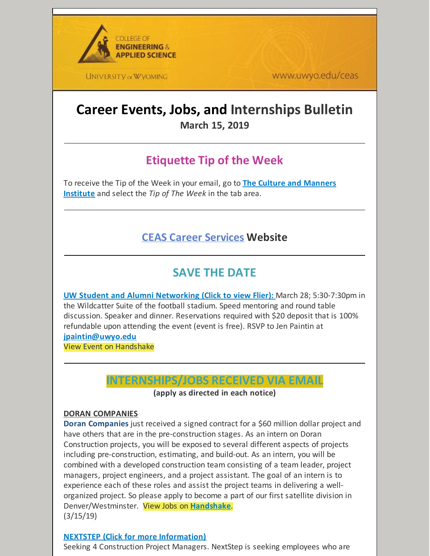

**UNIVERSITY OF WYOMING** 

www.uwyo.edu/ceas

# **Career Events, Jobs, and Internships Bulletin March 15, 2019**

# **Etiquette Tip of the Week**

To receive the Tip of the Week in your email, go to **The Culture and [Manners](http://cultureandmanners.com/) Institute** and select the *Tip of The Week* in the tab area.

## **CEAS Career [Services](http://www.uwyo.edu/ceas/resources/studentservices/jobs/index.html) Website**

## **SAVE THE DATE**

**UW Student and Alumni [Networking](https://files.constantcontact.com/b2624f04701/d826cc99-f070-4d03-ba77-24ff7254b722.pdf) (Click to view Flier):** March 28; 5:30-7:30pm in the Wildcatter Suite of the football stadium. Speed mentoring and round table discussion. Speaker and dinner. Reservations required with \$20 deposit that is 100% refundable upon attending the event (event is free). RSVP to Jen Paintin at **[jpaintin@uwyo.edu](mailto:jpaintin@uwyo.edu)**

View Event on Handshake

## **INTERNSHIPS/JOBS RECEIVED VIA EMAIL**

**(apply as directed in each notice)**

#### **DORAN COMPANIES**

**Doran Companies** just received a signed contract for a \$60 million dollar project and have others that are in the pre-construction stages. As an intern on Doran Construction projects, you will be exposed to several different aspects of projects including pre-construction, estimating, and build-out. As an intern, you will be combined with a developed construction team consisting of a team leader, project managers, project engineers, and a project assistant. The goal of an intern is to experience each of these roles and assist the project teams in delivering a wellorganized project. So please apply to become a part of our first satellite division in Denver/Westminster. View Jobs on **[Handshake](https://wyoming.joinhandshake.com/jobs/2298379)**. (3/15/19)

#### **NEXTSTEP (Click for more [Information\)](https://nextstepministries.com/internships/construction/)**

Seeking 4 Construction Project Managers. NextStep is seeking employees who are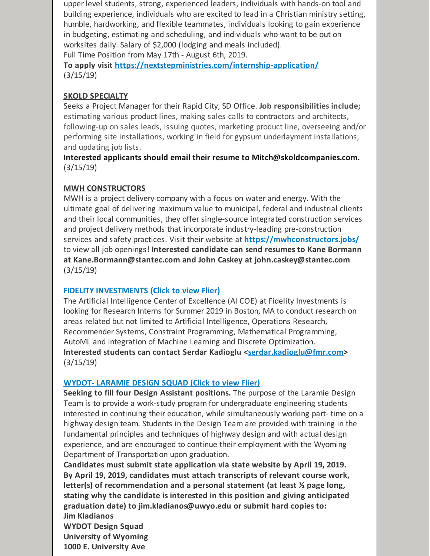upper level students, strong, experienced leaders, individuals with hands-on tool and building experience, individuals who are excited to lead in a Christian ministry setting, humble, hardworking, and flexible teammates, individuals looking to gain experience in budgeting, estimating and scheduling, and individuals who want to be out on worksites daily. Salary of \$2,000 (lodging and meals included). Full Time Position from May 17th - August 6th, 2019.

**To apply visit <https://nextstepministries.com/internship-application/>** (3/15/19)

## **SKOLD SPECIALTY**

Seeks a Project Manager for their Rapid City, SD Office. **Job responsibilities include;** estimating various product lines, making sales calls to contractors and architects, following-up on sales leads, issuing quotes, marketing product line, overseeing and/or performing site installations, working in field for gypsum underlayment installations, and updating job lists.

**Interested applicants should email their resume to [Mitch@skoldcompanies.com](mailto:Mitch@skoldcompanies.com).** (3/15/19)

#### **MWH CONSTRUCTORS**

MWH is a project delivery company with a focus on water and energy. With the ultimate goal of delivering maximum value to municipal, federal and industrial clients and their local communities, they offer single-source integrated construction services and project delivery methods that incorporate industry-leading pre-construction services and safety practices. Visit their website at **<https://mwhconstructors.jobs/>** to view all job openings! **Interested candidate can send resumes to Kane Bormann at Kane.Bormann@stantec.com and John Caskey at john.caskey@stantec.com** (3/15/19)

#### **FIDELITY [INVESTMENTS](https://files.constantcontact.com/b2624f04701/03c9d73d-2129-484b-a87e-984d8711d670.pdf) (Click to view Flier)**

The Artificial Intelligence Center of Excellence (AI COE) at Fidelity Investments is looking for Research Interns for Summer 2019 in Boston, MA to conduct research on areas related but not limited to Artificial Intelligence, Operations Research, Recommender Systems, Constraint Programming, Mathematical Programming, AutoML and Integration of Machine Learning and Discrete Optimization. **Interested students can contact Serdar Kadioglu [<serdar.kadioglu@fmr.com](mailto:serdar.kadioglu@fmr.com)>** (3/15/19)

## **WYDOT- [LARAMIE](https://files.constantcontact.com/b2624f04701/fb24ca9d-bdda-4612-8a01-d38ba03b7d34.doc) DESIGN SQUAD (Click to view Flier)**

**Seeking to fill four Design Assistant positions.** The purpose of the Laramie Design Team is to provide a work-study program for undergraduate engineering students interested in continuing their education, while simultaneously working part- time on a highway design team. Students in the Design Team are provided with training in the fundamental principles and techniques of highway design and with actual design experience, and are encouraged to continue their employment with the Wyoming Department of Transportation upon graduation.

**Candidates must submit state application via state website by April 19, 2019. By April 19, 2019, candidates must attach transcripts of relevant course work, letter(s) of recommendation and a personal statement (at least ½ page long, stating why the candidate is interested in this position and giving anticipated graduation date) to jim.kladianos@uwyo.edu or submit hard copies to: Jim Kladianos**

**WYDOT Design Squad University of Wyoming 1000 E. University Ave**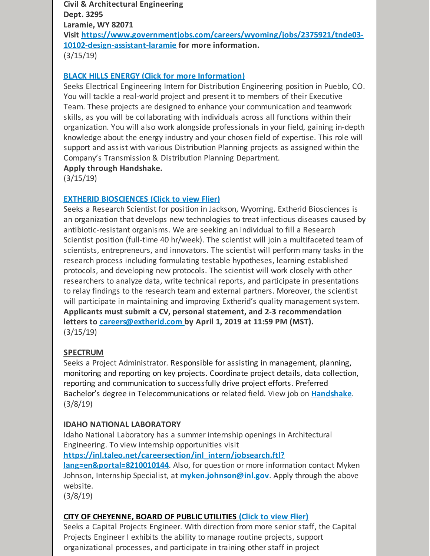**Civil & Architectural Engineering Dept. 3295 Laramie, WY 82071 Visit [https://www.governmentjobs.com/careers/wyoming/jobs/2375921/tnde03-](https://www.governmentjobs.com/careers/wyoming/jobs/2375921/tnde03-10102-design-assistant-laramie) 10102-design-assistant-laramie for more information.** (3/15/19)

## **BLACK HILLS ENERGY (Click for more [Information\)](https://wyoming.joinhandshake.com/jobs/2513948)**

Seeks Electrical Engineering Intern for Distribution Engineering position in Pueblo, CO. You will tackle a real-world project and present it to members of their Executive Team. These projects are designed to enhance your communication and teamwork skills, as you will be collaborating with individuals across all functions within their organization. You will also work alongside professionals in your field, gaining in-depth knowledge about the energy industry and your chosen field of expertise. This role will support and assist with various Distribution Planning projects as assigned within the Company's Transmission & Distribution Planning Department.

**Apply through Handshake.**

(3/15/19)

#### **EXTHERID [BIOSCIENCES](https://files.constantcontact.com/b2624f04701/513fa69e-e82a-4a42-8305-d5f5bfb3bb84.docx) (Click to view Flier)**

Seeks a Research Scientist for position in Jackson, Wyoming. Extherid Biosciences is an organization that develops new technologies to treat infectious diseases caused by antibiotic-resistant organisms. We are seeking an individual to fill a Research Scientist position (full-time 40 hr/week). The scientist will join a multifaceted team of scientists, entrepreneurs, and innovators. The scientist will perform many tasks in the research process including formulating testable hypotheses, learning established protocols, and developing new protocols. The scientist will work closely with other researchers to analyze data, write technical reports, and participate in presentations to relay findings to the research team and external partners. Moreover, the scientist will participate in maintaining and improving Extherid's quality management system. **Applicants must submit a CV, personal statement, and 2-3 recommendation letters to [careers@extherid.com](mailto:careers@extherid.com) by April 1, 2019 at 11:59 PM (MST).** (3/15/19)

#### **SPECTRUM**

Seeks a Project Administrator. Responsible for assisting in management, planning, monitoring and reporting on key projects. Coordinate project details, data collection, reporting and communication to successfully drive project efforts. Preferred Bachelor's degree in Telecommunications or related field. View job on **[Handshake](https://wyoming.joinhandshake.com/jobs/2365359)**. (3/8/19)

#### **IDAHO NATIONAL LABORATORY**

Idaho National Laboratory has a summer internship openings in Architectural Engineering. To view internship opportunities visit

**[https://inl.taleo.net/careersection/inl\\_intern/jobsearch.ftl?](https://inl.taleo.net/careersection/inl_intern/jobsearch.ftl?lang=en&portal=8210010144) lang=en&portal=8210010144**. Also, for question or more information contact Myken Johnson, Internship Specialist, at **[myken.johnson@inl.gov](mailto:myken.johnson@inl.gov)**. Apply through the above website.

(3/8/19)

#### **CITY OF [CHEYENNE,](https://files.constantcontact.com/b2624f04701/288c06da-d397-4495-8954-1bf99d19dfd3.pdf) BOARD OF PUBLIC UTILITIES [\(Click](https://files.constantcontact.com/b2624f04701/288c06da-d397-4495-8954-1bf99d19dfd3.pdf) to view Flier)**

Seeks a Capital Projects Engineer. With direction from more senior staff, the Capital Projects Engineer I exhibits the ability to manage routine projects, support organizational processes, and participate in training other staff in project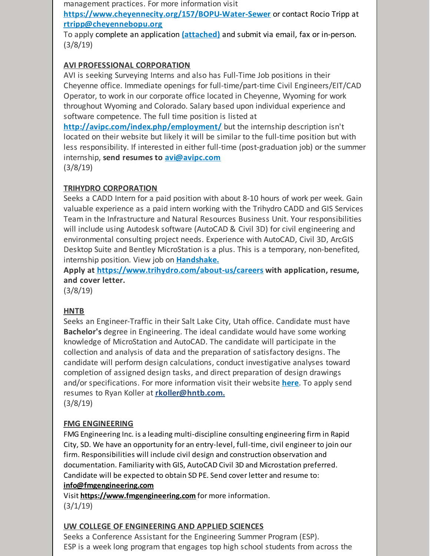management practices. For more information visit

**<https://www.cheyennecity.org/157/BOPU-Water-Sewer>** or contact Rocio Tripp at **[rtripp@cheyennebopu.org](mailto:rtripp@cheyennebopu.org)**

To apply complete an application **[\(attached\)](https://files.constantcontact.com/b2624f04701/3552df78-ccb4-4fd1-9d8f-d2db4e91a7ba.pdf)** and submit via email, fax or in-person. (3/8/19)

## **AVI PROFESSIONAL CORPORATION**

AVI is seeking Surveying Interns and also has Full-Time Job positions in their Cheyenne office. Immediate openings for full-time/part-time Civil Engineers/EIT/CAD Operator, to work in our corporate office located in Cheyenne, Wyoming for work throughout Wyoming and Colorado. Salary based upon individual experience and software competence. The full time position is listed at

**<http://avipc.com/index.php/employment/>** but the internship description isn't located on their website but likely it will be similar to the full-time position but with less responsibility. If interested in either full-time (post-graduation job) or the summer internship, **send resumes to [avi@avipc.com](mailto:avi@avipc.com)**

(3/8/19)

## **TRIHYDRO CORPORATION**

Seeks a CADD Intern for a paid position with about 8-10 hours of work per week. Gain valuable experience as a paid intern working with the Trihydro CADD and GIS Services Team in the Infrastructure and Natural Resources Business Unit. Your responsibilities will include using Autodesk software (AutoCAD & Civil 3D) for civil engineering and environmental consulting project needs. Experience with AutoCAD, Civil 3D, ArcGIS Desktop Suite and Bentley MicroStation is a plus. This is a temporary, non-benefited, internship position. View job on **[Handshake.](https://app.joinhandshake.com/jobs/2506080)**

**Apply at <https://www.trihydro.com/about-us/careers> with application, resume, and cover letter.**

(3/8/19)

## **HNTB**

Seeks an Engineer-Traffic in their Salt Lake City, Utah office. Candidate must have **Bachelor's** degree in Engineering. The ideal candidate would have some working knowledge of MicroStation and AutoCAD. The candidate will participate in the collection and analysis of data and the preparation of satisfactory designs. The candidate will perform design calculations, conduct investigative analyses toward completion of assigned design tasks, and direct preparation of design drawings and/or specifications. For more information visit their website **[here](https://careers-hntb.icims.com/jobs/19648/engineer--traffic/job?utm_campaign=google_jobs_apply&utm_source=google_jobs_apply&utm_medium=organic&mobile=false&width=1037&height=500&bga=true&needsRedirect=false&jan1offset=-420&jun1offset=-360)**. To apply send resumes to Ryan Koller at **[rkoller@hntb.com.](mailto:rkoller@hntb.com)**

(3/8/19)

## **FMG ENGINEERING**

FMG Engineering Inc. is a leading multi-discipline consulting engineering firm in Rapid City, SD. We have an opportunity for an entry-level, full-time, civil engineer to join our firm. Responsibilities will include civil design and construction observation and documentation. Familiarity with GIS, AutoCAD Civil 3D and Microstation preferred. Candidate will be expected to obtain SD PE. Send cover letter and resume to: **[info@fmgengineering.com](mailto:info@fmgengineering.com)**

[Visit](https://www.fmgengineering.com) **<https://www.fmgengineering.com>** for more [information.](https://www.fmgengineering.com)  $(3/1/19)$ 

## **UW COLLEGE OF ENGINEERING AND APPLIED SCIENCES**

Seeks a Conference Assistant for the Engineering Summer Program (ESP). ESP is a week long program that engages top high school students from across the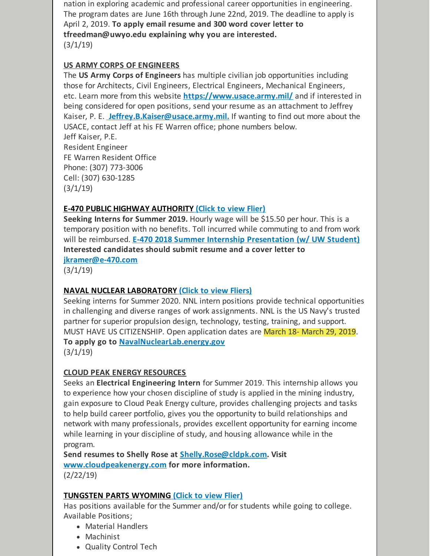nation in exploring academic and professional career opportunities in engineering. The program dates are June 16th through June 22nd, 2019. The deadline to apply is April 2, 2019. **To apply email resume and 300 word cover letter to tfreedman@uwyo.edu explaining why you are interested.**  $(3/1/19)$ 

## **US ARMY CORPS OF ENGINEERS**

The **US Army Corps of Engineers** has multiple civilian job opportunities including those for Architects, Civil Engineers, Electrical Engineers, Mechanical Engineers, etc. Learn more from this website **<https://www.usace.army.mil/>** and if interested in being considered for open positions, send your resume as an attachment to Jeffrey Kaiser, P. E. **[Jeffrey.B.Kaiser@usace.army.mil.](mailto:Jeffrey.B.Kaiser@usace.army.mil)** If wanting to find out more about the USACE, contact Jeff at his FE Warren office; phone numbers below.

Jeff Kaiser, P.E. Resident Engineer FE Warren Resident Office Phone: (307) 773-3006 Cell: (307) 630-1285  $(3/1/19)$ 

## **E-470 PUBLIC HIGHWAY [AUTHORITY](https://files.constantcontact.com/b2624f04701/d8ffa485-930a-4ae4-b3f2-3f15ead3ca97.pdf) [\(Click](https://files.constantcontact.com/b2624f04701/d8ffa485-930a-4ae4-b3f2-3f15ead3ca97.pdf) to view Flier)**

**Seeking Interns for Summer 2019.** Hourly wage will be \$15.50 per hour. This is a temporary position with no benefits. Toll incurred while commuting to and from work will be reimbursed. **E-470 2018 Summer Internship [Presentation](https://www.youtube.com/watch?v=69y2FYAXa0M&feature=youtu.be) (w/ UW Student) Interested candidates should submit resume and a cover letter to**

**[jkramer@e-470.com](mailto:jkramer@e-470.com)**

(3/1/19)

## **NAVAL NUCLEAR [LABORATORY](https://files.constantcontact.com/b2624f04701/16d9d4d4-3fea-4e92-b58d-597cf144e00e.pdf) (Click to view [Fliers\)](https://files.constantcontact.com/b2624f04701/16d9d4d4-3fea-4e92-b58d-597cf144e00e.pdf)**

Seeking interns for Summer 2020. NNL intern positions provide technical opportunities in challenging and diverse ranges of work assignments. NNL is the US Navy's trusted partner for superior propulsion design, technology, testing, training, and support. MUST HAVE US CITIZENSHIP. Open application dates are March 18- March 29, 2019. **To apply go to [NavalNuclearLab.energy.gov](http://navalnuclearlab.energy.gov)**

 $(3/1/19)$ 

## **CLOUD PEAK ENERGY RESOURCES**

Seeks an **Electrical Engineering Intern** for Summer 2019. This internship allows you to experience how your chosen discipline of study is applied in the mining industry, gain exposure to Cloud Peak Energy culture, provides challenging projects and tasks to help build career portfolio, gives you the opportunity to build relationships and network with many professionals, provides excellent opportunity for earning income while learning in your discipline of study, and housing allowance while in the program.

**Send resumes to Shelly Rose at [Shelly.Rose@cldpk.com](mailto:Shelly.Rose@cldpk.com). Visit [www.cloudpeakenergy.com](http://www.cloudpeakenergy.com) for more information.** (2/22/19)

## **[TUNGSTEN](https://files.constantcontact.com/b2624f04701/28fb3c24-0eec-4681-a480-d44dd2145f61.pptx) PARTS WYOMING [\(Click](https://files.constantcontact.com/b2624f04701/28fb3c24-0eec-4681-a480-d44dd2145f61.pptx) to view Flier)**

Has positions available for the Summer and/or for students while going to college. Available Positions;

- Material Handlers
- Machinist
- Quality Control Tech